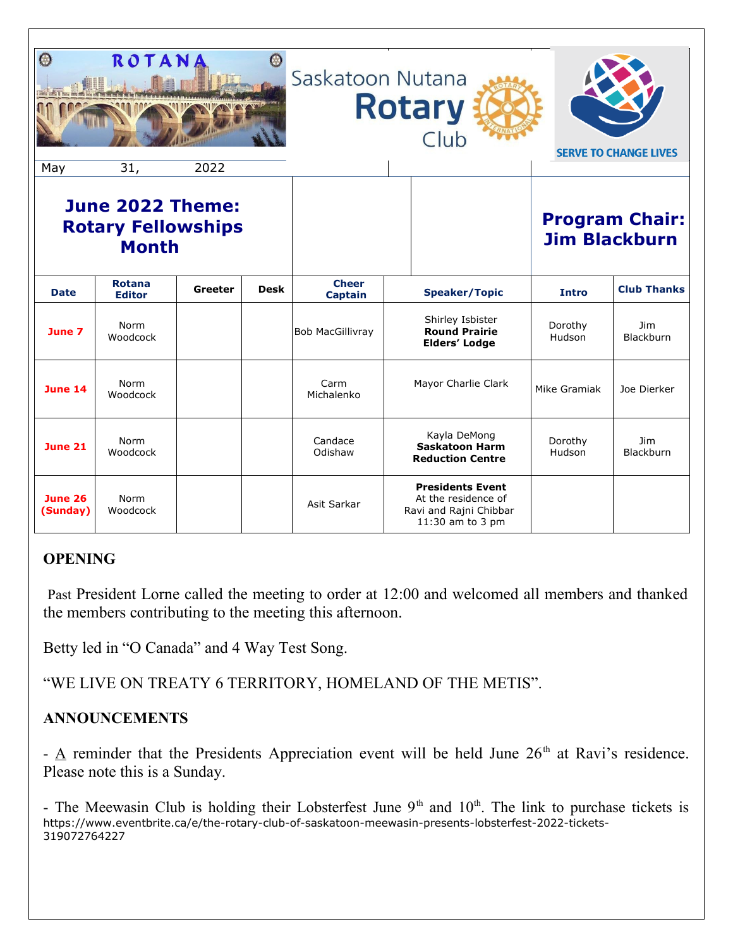| $\mathcal O$<br>May                                           | ROTANA<br>31,                  | 2022    |             | Saskatoon Nutana               | <b>Rotary</b><br>Club                                                                        |                   | <b>SERVE TO CHANGE LIVES</b>                  |
|---------------------------------------------------------------|--------------------------------|---------|-------------|--------------------------------|----------------------------------------------------------------------------------------------|-------------------|-----------------------------------------------|
| June 2022 Theme:<br><b>Rotary Fellowships</b><br><b>Month</b> |                                |         |             |                                |                                                                                              |                   | <b>Program Chair:</b><br><b>Jim Blackburn</b> |
| <b>Date</b>                                                   | <b>Rotana</b><br><b>Editor</b> | Greeter | <b>Desk</b> | <b>Cheer</b><br><b>Captain</b> | <b>Speaker/Topic</b>                                                                         | <b>Intro</b>      | <b>Club Thanks</b>                            |
| June 7                                                        | Norm<br>Woodcock               |         |             | <b>Bob MacGillivray</b>        | Shirley Isbister<br><b>Round Prairie</b><br><b>Elders' Lodge</b>                             | Dorothy<br>Hudson | Jim<br>Blackburn                              |
| <b>June 14</b>                                                | Norm<br>Woodcock               |         |             | Carm<br>Michalenko             | Mayor Charlie Clark                                                                          | Mike Gramiak      | Joe Dierker                                   |
| <b>June 21</b>                                                | Norm<br>Woodcock               |         |             | Candace<br>Odishaw             | Kayla DeMong<br><b>Saskatoon Harm</b><br><b>Reduction Centre</b>                             | Dorothy<br>Hudson | <b>Jim</b><br>Blackburn                       |
| <b>June 26</b><br>(Sunday)                                    | Norm<br>Woodcock               |         |             | Asit Sarkar                    | <b>Presidents Event</b><br>At the residence of<br>Ravi and Rajni Chibbar<br>11:30 am to 3 pm |                   |                                               |

# **OPENING**

 Past President Lorne called the meeting to order at 12:00 and welcomed all members and thanked the members contributing to the meeting this afternoon.

Betty led in "O Canada" and 4 Way Test Song.

"WE LIVE ON TREATY 6 TERRITORY, HOMELAND OF THE METIS".

### **ANNOUNCEMENTS**

-  $\Delta$  reminder that the Presidents Appreciation event will be held June 26<sup>th</sup> at Ravi's residence. Please note this is a Sunday.

- The Meewasin Club is holding their Lobsterfest June  $9<sup>th</sup>$  and  $10<sup>th</sup>$ . The link to purchase tickets is [https://www.eventbrite.ca/e/the-rotary-club-of-saskatoon-meewasin-presents-lobsterfest-2022-tickets-](https://www.eventbrite.ca/e/the-rotary-club-of-saskatoon-meewasin-presents-lobsterfest-2022-tickets-319072764227)[319072764227](https://www.eventbrite.ca/e/the-rotary-club-of-saskatoon-meewasin-presents-lobsterfest-2022-tickets-319072764227)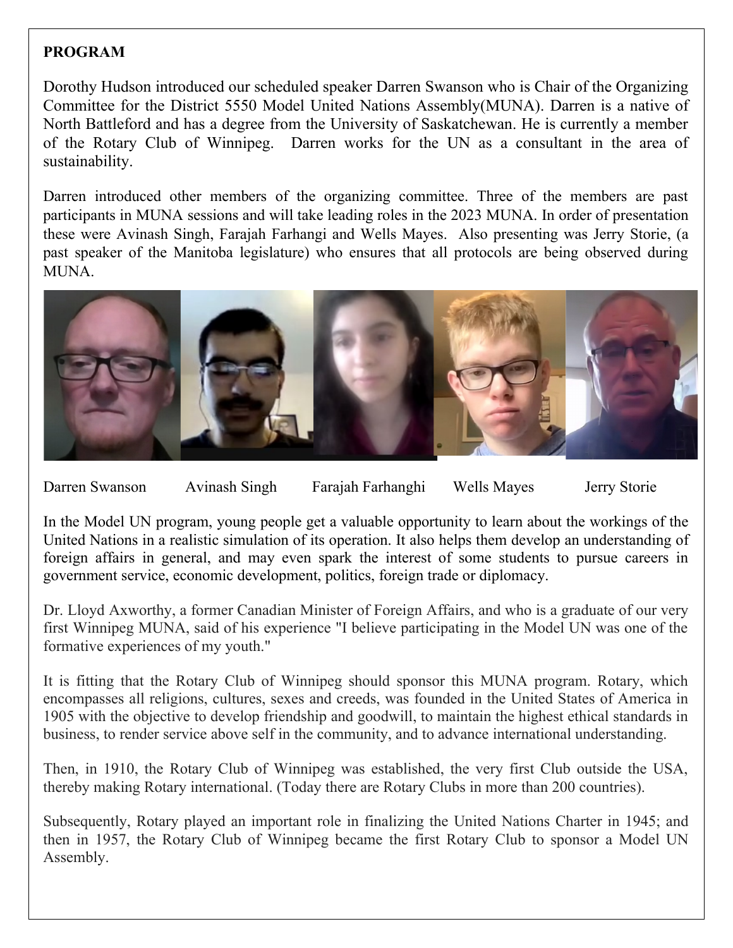## **PROGRAM**

Dorothy Hudson introduced our scheduled speaker Darren Swanson who is Chair of the Organizing Committee for the District 5550 Model United Nations Assembly(MUNA). Darren is a native of North Battleford and has a degree from the University of Saskatchewan. He is currently a member of the Rotary Club of Winnipeg. Darren works for the UN as a consultant in the area of sustainability.

Darren introduced other members of the organizing committee. Three of the members are past participants in MUNA sessions and will take leading roles in the 2023 MUNA. In order of presentation these were Avinash Singh, Farajah Farhangi and Wells Mayes. Also presenting was Jerry Storie, (a past speaker of the Manitoba legislature) who ensures that all protocols are being observed during MUNA.



Darren Swanson Avinash Singh Farajah Farhanghi Wells Mayes Jerry Storie

In the Model UN program, young people get a valuable opportunity to learn about the workings of the United Nations in a realistic simulation of its operation. It also helps them develop an understanding of foreign affairs in general, and may even spark the interest of some students to pursue careers in government service, economic development, politics, foreign trade or diplomacy.

Dr. Lloyd Axworthy, a former Canadian Minister of Foreign Affairs, and who is a graduate of our very first Winnipeg MUNA, said of his experience "I believe participating in the Model UN was one of the formative experiences of my youth."

It is fitting that the Rotary Club of Winnipeg should sponsor this MUNA program. Rotary, which encompasses all religions, cultures, sexes and creeds, was founded in the United States of America in 1905 with the objective to develop friendship and goodwill, to maintain the highest ethical standards in business, to render service above self in the community, and to advance international understanding.

Then, in 1910, the Rotary Club of Winnipeg was established, the very first Club outside the USA, thereby making Rotary international. (Today there are Rotary Clubs in more than 200 countries).

Subsequently, Rotary played an important role in finalizing the United Nations Charter in 1945; and then in 1957, the Rotary Club of Winnipeg became the first Rotary Club to sponsor a Model UN Assembly.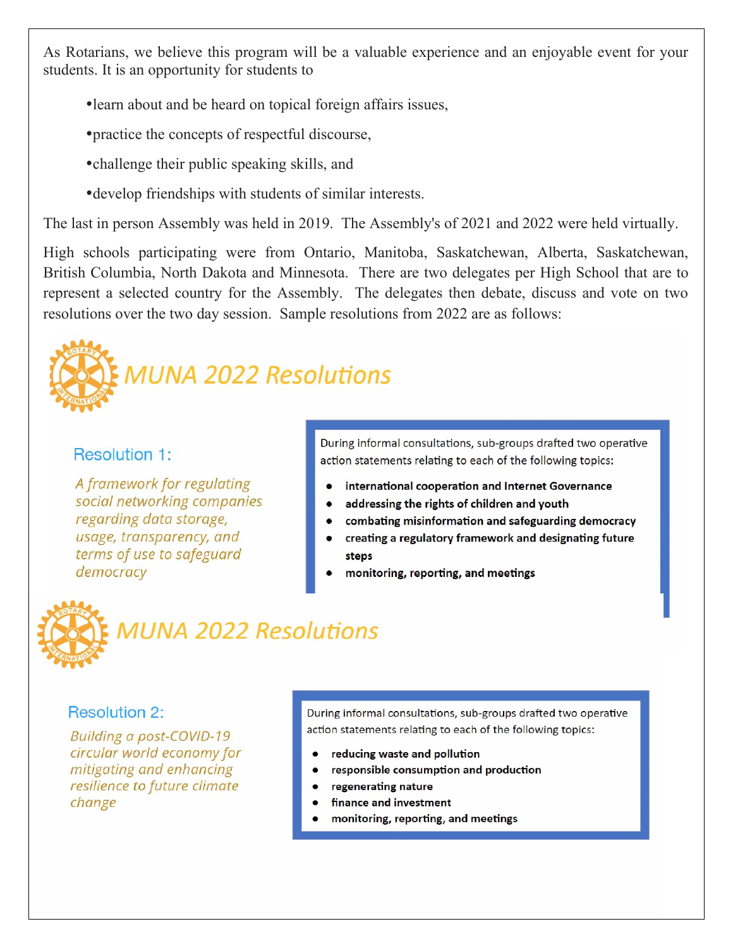As Rotarians, we believe this program will be a valuable experience and an enjoyable event for your students. It is an opportunity for students to

- learn about and be heard on topical foreign affairs issues,
- practice the concepts of respectful discourse,
- challenge their public speaking skills, and
- develop friendships with students of similar interests.

The last in person Assembly was held in 2019. The Assembly's of 2021 and 2022 were held virtually.

High schools participating were from Ontario, Manitoba, Saskatchewan, Alberta, Saskatchewan, British Columbia, North Dakota and Minnesota. There are two delegates per High School that are to represent a selected country for the Assembly. The delegates then debate, discuss and vote on two resolutions over the two day session. Sample resolutions from 2022 are as follows:



### **Resolution 1:**

A framework for regulating social networking companies regarding data storage, usage, transparency, and terms of use to safeguard democracy

During informal consultations, sub-groups drafted two operative action statements relating to each of the following topics:

- international cooperation and Internet Governance
- addressing the rights of children and youth  $\bullet$
- combating misinformation and safeguarding democracy  $\bullet$
- $\bullet$ creating a regulatory framework and designating future steps
- monitoring, reporting, and meetings



#### **Resolution 2:**

**Building a post-COVID-19** circular world economy for mitigating and enhancing resilience to future climate change

During informal consultations, sub-groups drafted two operative action statements relating to each of the following topics:

- reducing waste and pollution
- responsible consumption and production
- regenerating nature
- finance and investment
- monitoring, reporting, and meetings